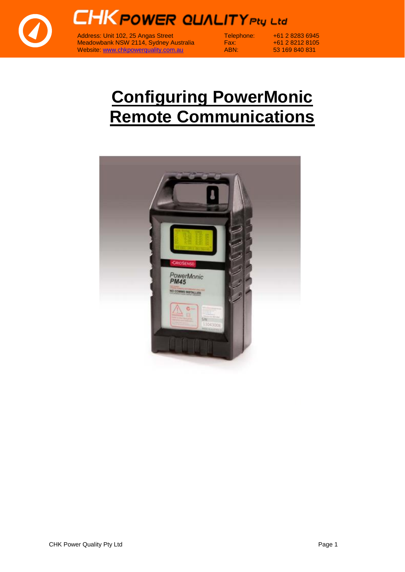



Address: Unit 102, 25 Angas Street Telephone: +61 2 8283 6945 Meadowbank NSW 2114, Sydney Australia Fax: +61 2 8212 8105 Meadowbank NSW 2114, Sydney Australia<br>
Website: [www.chkpowerquality.com.au](http://www.chkpowerquality.com.au/) ABN: 53 169 840 831

## **Configuring PowerMonic Remote Communications**

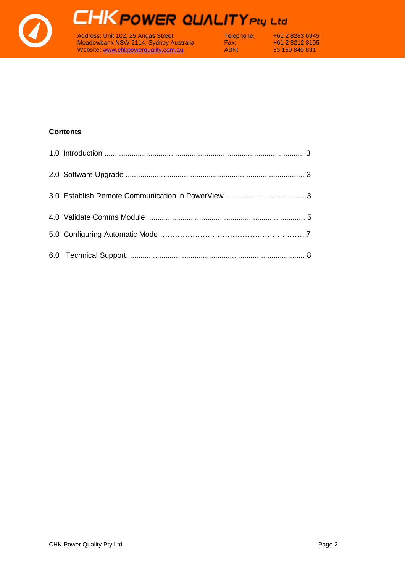

# **CHK POWER QUALITY Pty Ltd**

Address: Unit 102, 25 Angas Street Telephone: +61 2 8283 6945 Meadowbank NSW 2114, Sydney Australia Fax: +61 2 8212 8105 Website: [www.chkpowerquality.com.au](http://www.chkpowerquality.com.au/) ABN: 53 169 840 831

#### **Contents**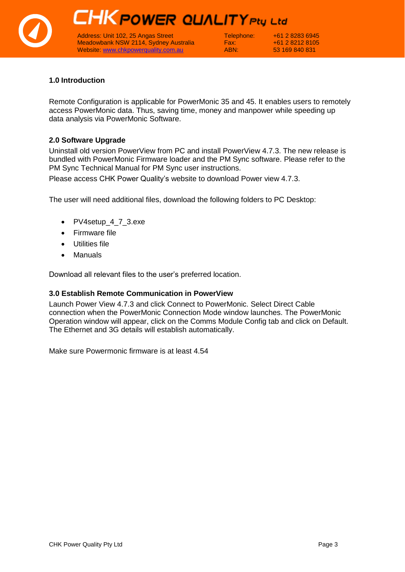## **CHK POWER QUALITY Pty Ltd**

Address: Unit 102, 25 Angas Street Telephone: +61 2 8283 6945<br>Meadowbank NSW 2114, Sydney Australia Fax: +61 2 8212 8105 Meadowbank NSW 2114, Sydney Australia Fax:  $+61 2 8212 8105$ <br>
Website: www.chkpowerguality.com.au ABN: 53 169 840 831 Website: [www.chkpowerquality.com.au](http://www.chkpowerquality.com.au/) ABN: 53 169 840 831

#### **1.0 Introduction**

Remote Configuration is applicable for PowerMonic 35 and 45. It enables users to remotely access PowerMonic data. Thus, saving time, money and manpower while speeding up data analysis via PowerMonic Software.

#### **2.0 Software Upgrade**

Uninstall old version PowerView from PC and install PowerView 4.7.3. The new release is bundled with PowerMonic Firmware loader and the PM Sync software. Please refer to the PM Sync Technical Manual for PM Sync user instructions.

Please access CHK Power Quality's website to download Power view 4.7.3.

The user will need additional files, download the following folders to PC Desktop:

- PV4setup\_4\_7\_3.exe
- Firmware file
- Utilities file
- Manuals

Download all relevant files to the user's preferred location.

#### **3.0 Establish Remote Communication in PowerView**

Launch Power View 4.7.3 and click Connect to PowerMonic. Select Direct Cable connection when the PowerMonic Connection Mode window launches. The PowerMonic Operation window will appear, click on the Comms Module Config tab and click on Default. The Ethernet and 3G details will establish automatically.

Make sure Powermonic firmware is at least 4.54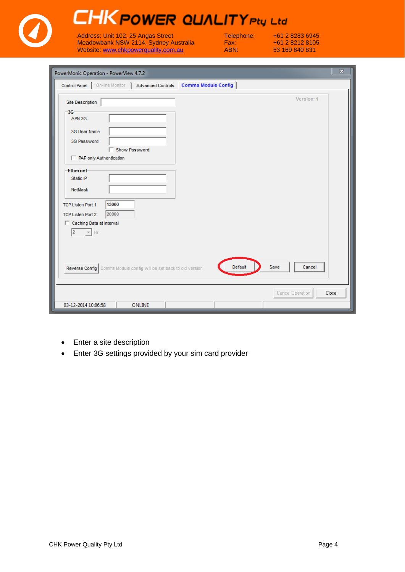| PowerMonic Operation - PowerView 4.7.2                                  |                           |  |
|-------------------------------------------------------------------------|---------------------------|--|
| Control Panel   On-line Monitor   Advanced Controls Comms Module Config |                           |  |
| Site Description                                                        | Version: 1                |  |
| $-3G-$                                                                  |                           |  |
| APN 3G                                                                  |                           |  |
| 3G User Name                                                            |                           |  |
| 3G Password                                                             |                           |  |
| Show Password                                                           |                           |  |
| PAP only Authentication                                                 |                           |  |
| <b>Ethernet</b>                                                         |                           |  |
| Static IP                                                               |                           |  |
| NetMask                                                                 |                           |  |
|                                                                         |                           |  |
| 13000<br><b>TCP Listen Port 1</b>                                       |                           |  |
| 20000<br><b>TCP Listen Port 2</b><br>Caching Data at Interval           |                           |  |
| $ 2\rangle$<br>$\mathbf{v}$ + $\mathbf{H}$ r                            |                           |  |
|                                                                         |                           |  |
|                                                                         |                           |  |
|                                                                         |                           |  |
| Reverse Config   Comms Module config will be set back to old version    | Default<br>Save<br>Cancel |  |
|                                                                         |                           |  |

- Enter a site description
- Enter 3G settings provided by your sim card provider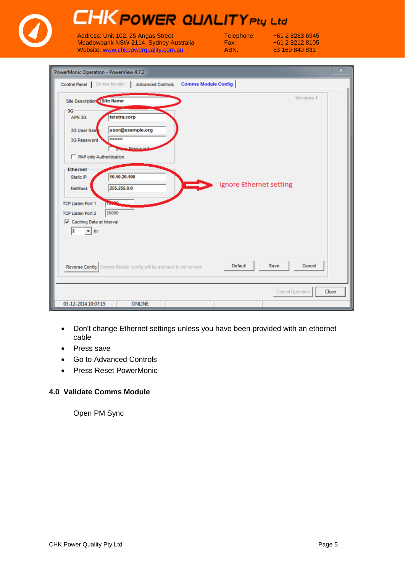| PowerMonic Operation - PowerView 4.7.2                                                                                                                                                                                                                           |                                                                                                          |                         |                |
|------------------------------------------------------------------------------------------------------------------------------------------------------------------------------------------------------------------------------------------------------------------|----------------------------------------------------------------------------------------------------------|-------------------------|----------------|
|                                                                                                                                                                                                                                                                  | Control Panel   On-line Monitor   Advanced Controls Comms Module Config                                  |                         |                |
| <b>Site Description Site Name</b><br>3G<br>APN 3G<br>3G User Nam<br>3G Password<br>PAP only Authentication<br><b>Ethernet</b><br>Static IP<br><b>NetMask</b><br><b>TCP Listen Port 1</b><br><b>TCP Listen Port 2</b><br>Caching Data at Interval<br>12<br>$-$ Hr | telstra.corp<br>user@example.org<br>********<br>Dasswor<br>10.10.20.100<br>255,255,0.0<br>15000<br>20000 | Ignore Ethernet setting | Version: 1     |
|                                                                                                                                                                                                                                                                  | Reverse Config   Comms Module config will be set back to old version                                     | Default                 | Save<br>Cancel |

- Don't change Ethernet settings unless you have been provided with an ethernet cable
- Press save
- Go to Advanced Controls
- Press Reset PowerMonic

### **4.0 Validate Comms Module**

Open PM Sync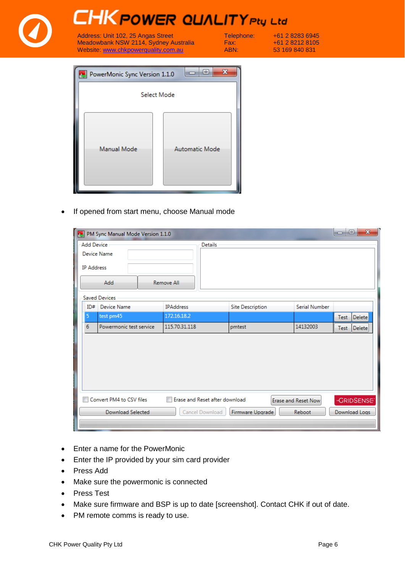

• If opened from start menu, choose Manual mode

| $\mathbf{x}$<br>o.<br>PM Sync Manual Mode Version 1.1.0<br><b>INCLUS</b><br><b>A</b>                |                          |                         |                         |               |                |  |  |  |
|-----------------------------------------------------------------------------------------------------|--------------------------|-------------------------|-------------------------|---------------|----------------|--|--|--|
| <b>Add Device</b><br><b>Details</b><br><b>Device Name</b><br><b>IP Address</b><br>Add<br>Remove All |                          |                         |                         |               |                |  |  |  |
|                                                                                                     | <b>Saved Devices</b>     |                         |                         |               |                |  |  |  |
| ID#                                                                                                 | Device Name              | <b>IPAddress</b>        | <b>Site Description</b> | Serial Number |                |  |  |  |
| 5                                                                                                   | test pm45                | 172.16.18.2             |                         |               | Delete<br>Test |  |  |  |
| 6                                                                                                   | Powermonic test service  | 115.70.31.118           | pmtest                  | 14132003      | Test Delete    |  |  |  |
|                                                                                                     |                          |                         |                         |               |                |  |  |  |
| Convert PM4 to CSV files                                                                            | Erase and Reset Now      | -GRIDSENSE <sup>®</sup> |                         |               |                |  |  |  |
|                                                                                                     | <b>Download Selected</b> | Cancel Download         | Firmware Upgrade        | Reboot        | Download Logs  |  |  |  |

- Enter a name for the PowerMonic
- Enter the IP provided by your sim card provider
- Press Add
- Make sure the powermonic is connected
- Press Test
- Make sure firmware and BSP is up to date [screenshot]. Contact CHK if out of date.
- PM remote comms is ready to use.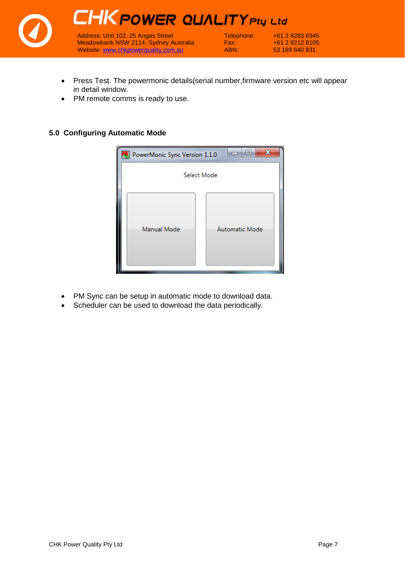

- Press Test. The powermonic details(serial number,firmware version etc will appear in detail window.
- PM remote comms is ready to use.

#### **5.0 Configuring Automatic Mode**



- PM Sync can be setup in automatic mode to download data.
- Scheduler can be used to download the data periodically.